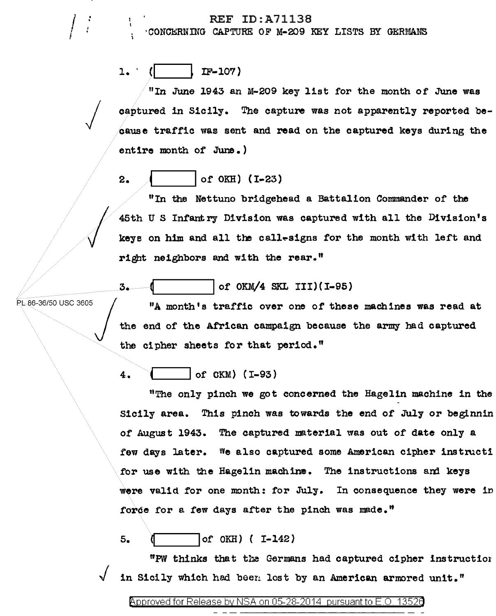#### REF ID:A71138

·CONCl!:RUlliG CAPTURE OF M-209 KEY LISTS BY GERMANS

 $1.$  ( IF-107)

"In June 1943 an M-209 key list for the month of June was captured in Sicily. The capture was not apparently reported because traffic was sent and read on the captured keys during the entire month of June.)

## 2.  $|$  of OKH) (I-23)

 $\begin{matrix} \end{matrix}$ "In the Nettuno bridgehead a Battalion Commander of the 45th Us Infantry Division was captured with all the Division's keys on him and all the call-signs for the month with left and right neighbors and with the rear."

### of OKM/4 SKL III)(I-95)

PL 86-36/50 USC 3605 "A month's traffic over one of these machines was read at the end of the African campaign because the army had captured the cipher sheets for that period."

4.  $|$  of OKM) (1-93)

"The only pinch we got concerned the Hagelin machine in the Sicily area. This pinch was towards the end of July or beginnin of August 1943. The captured material was out of date only a few days later. We also captured some American cipher instructi for use with the Hagelin machine. The instructions and keys were valid for one month: for July. In consequence they were in force for a few days after the pinch was made."

 $5.$   $($   $\vert$  of OKH)  $($  I-142)

"PW thinks that the Germans had captured cipher instruction in Sicily which had been lost by an American armored unit."

 $\int$ I

 $\bigg\{$ 

3.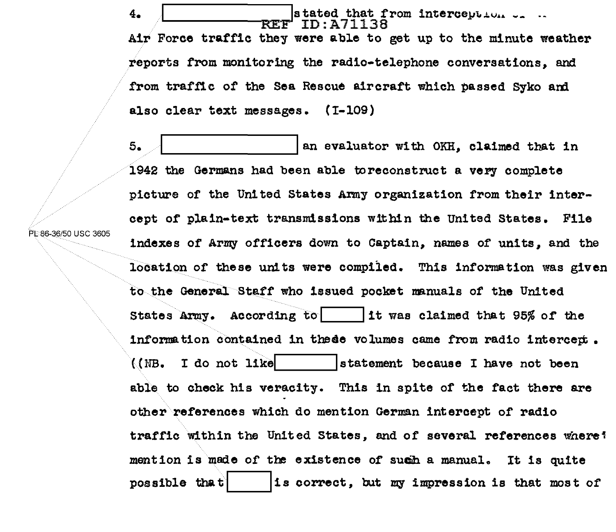$\overline{a}$ .  $\overline{a}$   $\overline{R}$   $\overline{R}$   $\overline{R}$   $\overline{r}$   $\overline{r}$   $\overline{r}$   $\overline{r}$   $\overline{r}$   $\overline{r}$   $\overline{r}$   $\overline{r}$   $\overline{r}$   $\overline{r}$   $\overline{r}$   $\overline{r}$   $\overline{r}$   $\overline{r}$   $\overline{r}$   $\overline{r}$   $\overline{r}$   $\overline{r}$   $\overline{r}$   $\overline$ Air Force traffic they were able to get up to the minute weather reports from monitoring the radio-telephone conversations, and from traffic of the Sea Rescue aircraft which passed Syko and also clear text messages. (I-109)

 $5.$   $\overline{\phantom{a}}$  an evaluator with OKH, claimed that in 1942 the Germans had been able toreconstruct a very complete picture of the United States Army organization from their intercept of plain-text transmissions within the United States. File indexes of Army officers down to Captain, names of units, and the location of these units were compiled. This information was given to the General Staff who issued pocket manuals of the United States Army. According to  $\vert$  it was claimed that 95% of the information contained in these volumes came from radio intercept.  $($ (NB. I do not like  $|$  ... ... ... istatement because I have not been able to check his veracity. This in spite of the fact there are other references which do mention German intercept of radio traffic within the United States, and of several references where? mention is made of the existence of sucih a manual.. It is quite possible that  $\vert$  is correct, but my impression is that most of

PL 86-36/50 USC 3605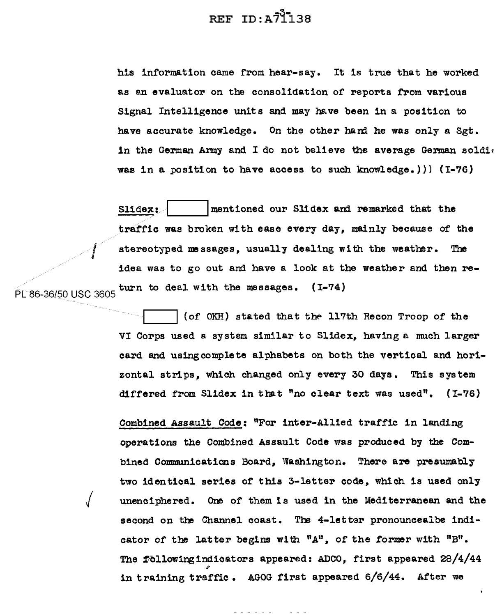## REF  $ID: A7\overline{1}138$

his information came from hear-say. It is true that he worked as an evaluator on the consolidation of reports from various Signal Intelligence units and may have been in a position to have accurate knowledge. On the other hamd he was only a Sgt. in the German Army and I do not believe the average German soldic was in a position to have access to such knowledge.))) (I-76)

Slidex:  $\parallel$  mentioned our Slidex and remarked that the traffic was broken with ease every day, mainly because of the stereotyped messages, usually dealing with the weather. The idea was to go out and have a look at the weather and then rep[86\_ <sup>36150</sup>USC 3605 turn to deal with the massages. (I-74)

> (of OKH) stated that the 117th Recon Troop of the VI Corps used a system similar to Slidex, having e. much larger card and usingcomplete alphabets on both the vertical and horizontal strips, which changed only every 30 days. This system differed from Slidex in that "no clear text was used". (I-76)

> Combined Assault Code: "For inter-Allied traffic in landing operations the Combined Assault Code was produced by the Combined Communications Board, Washington. There are presumably two identical series of this 3-letter code, which is used only unenciphered. One of them is used in the Mediterranean and the second on the Channel coast. The 4-letter pronouncealbe indicator of the latter begins with "A", of the former with "B". The followingindicators appeared: ADCO, first appeared 28/4/44 in training traffic. AGOG first appeared 6/6/44. After we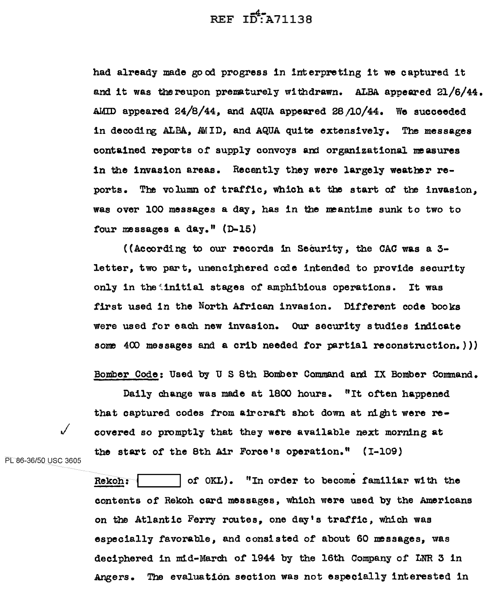REF ID:A71138

had already made good progress in interpreting it we captured it and it was thereupon prematurely withdrawn. ALBA appeared  $21/6/44$ . AMID appeared  $24/8/44$ , and AQUA appeared 28/10/44. We succeeded in decoding ALBA, AWID, and AQUA quite extensively. The messages contained reports of supply convoys and organizational measures in the invasion areas. Recently they were largely weather reports. The volumn of traffic, which at the start of the invasion, was over 100 messages a day, has in the meantime sunk to two to four messages a day." (D-15)

((According to our records 1n Security, the CAC was a 3 letter, two part, unenciphered code intended to provide security only in the initial stages of amphibious operations. It was first used in the North African invasion. Different code books were used for each new invasion. Our security studies indicate some  $400$  messages and a crib needed for partial reconstruction.)))

Bomber Code: Used by U S 8th Bomber Command and IX Bomber Command.

Daily change was made at 1800 hours. <sup>#</sup>It often happened that captured codes from air craft shot down at night were recovered so promptly that they were available next morning at the start of the 8th Air Force's operation." ( I-109)

PL 86-36/50 USC 3605

Rekoh:  $|$  of OKL). "In order to become familiar with the contents of Rekoh card messages, which were used by the Americans on the Atlantic Ferry routes, one day's traffic, which was especially favorable, and consisted of about 60 messages, was deciphered in mid-March of 1944 by the 16th Company of LNR 3 in Angers. The evaluation section was not especially interested in